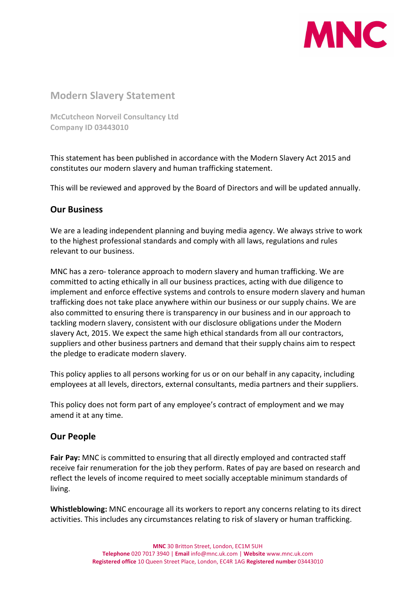

# Modern Slavery Statement

McCutcheon Norveil Consultancy Ltd Company ID 03443010

This statement has been published in accordance with the Modern Slavery Act 2015 and constitutes our modern slavery and human trafficking statement.

This will be reviewed and approved by the Board of Directors and will be updated annually.

## Our Business

We are a leading independent planning and buying media agency. We always strive to work to the highest professional standards and comply with all laws, regulations and rules relevant to our business.

MNC has a zero- tolerance approach to modern slavery and human trafficking. We are committed to acting ethically in all our business practices, acting with due diligence to implement and enforce effective systems and controls to ensure modern slavery and human trafficking does not take place anywhere within our business or our supply chains. We are also committed to ensuring there is transparency in our business and in our approach to tackling modern slavery, consistent with our disclosure obligations under the Modern slavery Act, 2015. We expect the same high ethical standards from all our contractors, suppliers and other business partners and demand that their supply chains aim to respect the pledge to eradicate modern slavery.

This policy applies to all persons working for us or on our behalf in any capacity, including employees at all levels, directors, external consultants, media partners and their suppliers.

This policy does not form part of any employee's contract of employment and we may amend it at any time.

#### Our People

Fair Pay: MNC is committed to ensuring that all directly employed and contracted staff receive fair renumeration for the job they perform. Rates of pay are based on research and reflect the levels of income required to meet socially acceptable minimum standards of living.

Whistleblowing: MNC encourage all its workers to report any concerns relating to its direct activities. This includes any circumstances relating to risk of slavery or human trafficking.